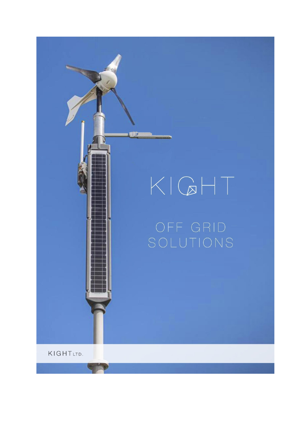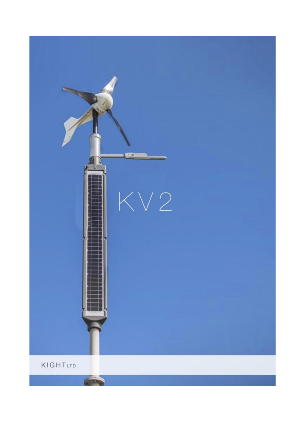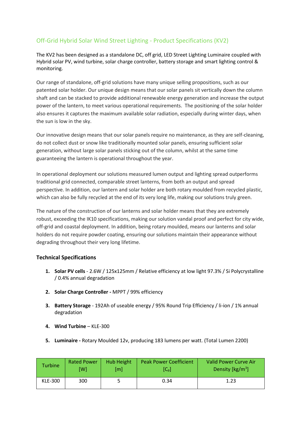## Off-Grid Hybrid Solar Wind Street Lighting - Product Specifications (KV2)

The KV2 has been designed as a standalone DC, off grid, LED Street Lighting Luminaire coupled with Hybrid solar PV, wind turbine, solar charge controller, battery storage and smart lighting control & monitoring.

Our range of standalone, off-grid solutions have many unique selling propositions, such as our patented solar holder. Our unique design means that our solar panels sit vertically down the column shaft and can be stacked to provide additional renewable energy generation and increase the output power of the lantern, to meet various operational requirements. The positioning of the solar holder also ensures it captures the maximum available solar radiation, especially during winter days, when the sun is low in the sky.

Our innovative design means that our solar panels require no maintenance, as they are self-cleaning, do not collect dust or snow like traditionally mounted solar panels, ensuring sufficient solar generation, without large solar panels sticking out of the column, whilst at the same time guaranteeing the lantern is operational throughout the year.

In operational deployment our solutions measured lumen output and lighting spread outperforms traditional grid connected, comparable street lanterns, from both an output and spread perspective. In addition, our lantern and solar holder are both rotary moulded from recycled plastic, which can also be fully recycled at the end of its very long life, making our solutions truly green.

The nature of the construction of our lanterns and solar holder means that they are extremely robust, exceeding the IK10 specifications, making our solution vandal proof and perfect for city wide, off-grid and coastal deployment. In addition, being rotary moulded, means our lanterns and solar holders do not require powder coating, ensuring our solutions maintain their appearance without degrading throughout their very long lifetime.

## **Technical Specifications**

- **1. Solar PV cells** 2.6W / 125x125mm / Relative efficiency at low light 97.3% / Si Polycrystalline / 0.4% annual degradation
- **2. Solar Charge Controller -** MPPT / 99% efficiency
- **3. Battery Storage** 192Ah of useable energy / 95% Round Trip Efficiency / li-ion / 1% annual degradation
- **4. Wind Turbine** KLE-300
- **5. Luminaire -** Rotary Moulded 12v, producing 183 lumens per watt. (Total Lumen 2200)

| <b>Turbine</b> | <b>Rated Power</b> | <b>Hub Height</b> | <b>Peak Power Coefficient</b> | Valid Power Curve Air        |  |  |
|----------------|--------------------|-------------------|-------------------------------|------------------------------|--|--|
|                | [W]                | [m]               | $[C_p]$                       | Density [kg/m <sup>3</sup> ] |  |  |
| <b>KLE-300</b> | 300                |                   | 0.34                          | 1.23                         |  |  |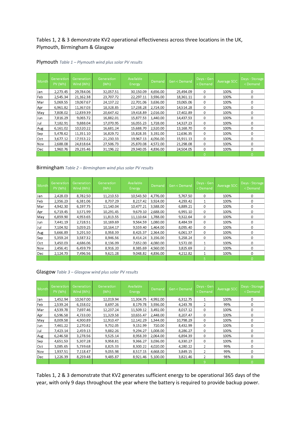### Tables 1, 2 & 3 demonstrate KV2 operational effectiveness across three locations in the UK, Plymouth, Birmingham & Glasgow

| Month | <b>Generation</b><br>PV (Wh) | Generation<br>Wind (Wh) | Generation<br>(Wh) | Available<br>Energy | Demand   | Gen < Demand | Days - Gen<br><demand< th=""><th>Average SOC</th><th>Days - Storage<br/><demand< th=""></demand<></th></demand<> | Average SOC | Days - Storage<br><demand< th=""></demand<> |
|-------|------------------------------|-------------------------|--------------------|---------------------|----------|--------------|------------------------------------------------------------------------------------------------------------------|-------------|---------------------------------------------|
| Jan   | 2,273.45                     | 29,784.06               | 32,057.51          | 30,150.09           | 4,656.00 | 25,494.09    | 0                                                                                                                | 100%        | 0                                           |
| Feb   | 2,545.34                     | 21,162.38               | 23,707.72          | 22,297.11           | 3,936.00 | 18,361.11    | 0                                                                                                                | 100%        | 0                                           |
| Mar   | 5,069.55                     | 19,067.67               | 24,137.22          | 22,701.06           | 3,636.00 | 19,065.06    | 0                                                                                                                | 100%        | 0                                           |
| Apr   | 6,961.82                     | 11,367.03               | 18,328.85          | 17,238.28           | 2,724.00 | 14,514.28    | 0                                                                                                                | 100%        | 0                                           |
| May   | 7,808.02                     | 12,839.39               | 20,647.42          | 19,418.89           | 2,016.00 | 17,402.89    | 0                                                                                                                | 100%        | 0                                           |
| Jun   | 7,816.29                     | 9,065.72                | 16,882.01          | 15,877.53           | 1,440.00 | 14,437.53    | 0                                                                                                                | 100%        | 0                                           |
| Jul   | 7,182.91                     | 9,888.04                | 17,070.95          | 16,055.23           | 1,728.00 | 14,327.23    | 0                                                                                                                | 100%        | 0                                           |
| Aug   | 6,161.02                     | 10,520.22               | 16,681.24          | 15,688.70           | 2,520.00 | 13,168.70    | 0                                                                                                                | 100%        | 0                                           |
| Sep   | 5,478.62                     | 11,351.10               | 16,829.72          | 15,828.35           | 3,192.00 | 12,636.35    | 0                                                                                                                | 100%        | 0                                           |
| Oct   | 3,677.12                     | 17,553.22               | 21,230.33          | 19,967.13           | 4,056.00 | 15,911.13    | 0                                                                                                                | 100%        | 0                                           |
| Nov   | 2,688.08                     | 24,818.64               | 27,506.73          | 25,870.08           | 4,572.00 | 21,298.08    | 0                                                                                                                | 100%        | 0                                           |
| Dec   | 1,960.76                     | 29,235.46               | 31,196.22          | 29.340.05           | 4,836.00 | 24,504.05    | 0                                                                                                                | 100%        | 0                                           |
|       |                              |                         |                    |                     |          |              | $\Omega$                                                                                                         |             | 0                                           |

#### Plymouth *Table 1 – Plymouth wind plus solar PV results*

Birmingham *Table 2 – Birmingham wind plus solar PV results*

| Month | Generation<br>PV (Wh) | Generation<br>Wind (Wh) | Generation<br>(Wh) | Available<br>Energy | Demand   | Gen < Demand | Days - Gen<br><demand< th=""><th>Average SOC</th><th>Days - Storage<br/><demand< th=""></demand<></th></demand<> | Average SOC | Days - Storage<br><demand< th=""></demand<> |
|-------|-----------------------|-------------------------|--------------------|---------------------|----------|--------------|------------------------------------------------------------------------------------------------------------------|-------------|---------------------------------------------|
| Jan   | 2,428.03              | 8,782.50                | 11,210.53          | 10,543.50           | 4,776.00 | 5,767.50     | 0                                                                                                                | 100%        | 0                                           |
| Feb   | 2.356.23              | 6,381.06                | 8.737.29           | 8,217.42            | 3.924.00 | 4,293.42     |                                                                                                                  | 100%        | 0                                           |
| Mar   | 4,942.30              | 6,197.75                | 11,140.04          | 10,477.21           | 3,588.00 | 6,889.21     | $\Omega$                                                                                                         | 100%        | 0                                           |
| Apr   | 6,719.45              | 3,571.99                | 10,291.45          | 9,679.10            | 2,688.00 | 6,991.10     | 0                                                                                                                | 100%        | 0                                           |
| May   | 6,859.90              | 4,953.65                | 11,813.55          | 11,110.64           | 1,788.00 | 9,322.64     | 0                                                                                                                | 100%        | 0                                           |
| Jun   | 7.441.19              | 2.728.51                | 10,169.69          | 9.564.59            | 1.080.00 | 8.484.59     | 0                                                                                                                | 100%        | 0                                           |
| Jul   | 7.104.92              | 3,059.25                | 10,164.17          | 9,559.40            | 1,464.00 | 8,095.40     | 0                                                                                                                | 100%        | 0                                           |
| Aug   | 5,666.89              | 3,291.50                | 8,958.39           | 8,425.37            | 2,364.00 | 6.061.37     | 0                                                                                                                | 100%        | $\Omega$                                    |
| Sep   | 5,359.24              | 3,587.32                | 8,946.56           | 8,414.24            | 3,156.00 | 5,258.24     | 0                                                                                                                | 100%        | 0                                           |
| Oct   | 3,450.03              | 4,686.06                | 8,136.09           | 7,652.00            | 4,080.00 | 3,572.00     |                                                                                                                  | 100%        | 0                                           |
| Nov   | 2,456.41              | 6,459.79                | 8,916.20           | 8,385.69            | 4,560.00 | 3,825.69     | $\mathcal{P}$                                                                                                    | 100%        | O                                           |
| Dec   | 2,124.73              | 7,496.56                | 9,621.28           | 9.048.82            | 4,836.00 | 4,212.82     | $\mathbf{1}$                                                                                                     | 100%        | 0                                           |
|       |                       |                         |                    |                     |          |              |                                                                                                                  |             |                                             |

#### Glasgow *Table 3 – Glasgow wind plus solar PV results*

| Month | Generation<br>PV (Wh) | Generation<br>Wind (Wh) | Generation<br>(Wh) | Available<br>Energy | <u>Demand</u> | Gen < Demand | Days - Gen<br><demand< th=""><th>Average SOC</th><th>Days - Storage<br/><demand< th=""></demand<></th></demand<> | Average SOC | Days - Storage<br><demand< th=""></demand<> |
|-------|-----------------------|-------------------------|--------------------|---------------------|---------------|--------------|------------------------------------------------------------------------------------------------------------------|-------------|---------------------------------------------|
| Jan   | 1,452.94              | 10,567.00               | 12,019.94          | 11,304.75           | 4,992.00      | 6,312.75     |                                                                                                                  | 100%        | 0                                           |
| Feb   | 2,539.24              | 6,158.02                | 8,697.26           | 8,179.78            | 3,936.00      | 4,243.78     | 2                                                                                                                | 99%         | 0                                           |
| Mar   | 4,539.78              | 7,697.46                | 12,237.24          | 11,509.12           | 3,492.00      | 8,017.12     | 0                                                                                                                | 100%        | 0                                           |
| Apr   | 6,596.58              | 4,733.00                | 11,329.58          | 10,655.47           | 2,448.00      | 8,207.47     | 0                                                                                                                | 100%        | 0                                           |
| May   | 8,009.58              | 4,900.89                | 12,910.47          | 12,142.29           | 1,344.00      | 10,798.29    | 0                                                                                                                | 100%        | 0                                           |
| Jun   | 7,461.22              | 2,270.82                | 9,732.05           | 9,152.99            | 720.00        | 8,432.99     | 0                                                                                                                | 100%        | 0                                           |
| Jul   | 7,423.14              | 2,459.13                | 9,882.26           | 9,294.27            | 1,008.00      | 8,286.27     | 0                                                                                                                | 100%        | 0                                           |
| Aug   | 6,246.58              | 3,278.56                | 9,525.14           | 8,958.39            | 2,064.00      | 6,894.39     | 0                                                                                                                | 100%        | 0                                           |
| Sep   | 4,651.53              | 5,307.28                | 9,958.81           | 9,366.27            | 3,036.00      | 6,330.27     | 0                                                                                                                | 100%        | 0                                           |
| Oct   | 3,085.65              | 5,739.68                | 8,825.33           | 8,300.22            | 4,020.00      | 4,280.22     | $\overline{2}$                                                                                                   | 99%         | 0                                           |
| Nov   | 1,937.51              | 7,118.47                | 9,055.98           | 8,517.15            | 4,668.00      | 3,849.15     | 2                                                                                                                | 99%         | 0                                           |
| Dec   | 1,226.39              | 8.259.48                | 9,485.87           | 8.921.46            | 5,100.00      | 3,821.46     | 2                                                                                                                | 98%         | 0                                           |
|       |                       |                         |                    |                     |               |              | 9                                                                                                                |             |                                             |

Tables 1, 2 & 3 demonstrate that KV2 generates sufficient energy to be operational 365 days of the year, with only 9 days throughout the year where the battery is required to provide backup power.